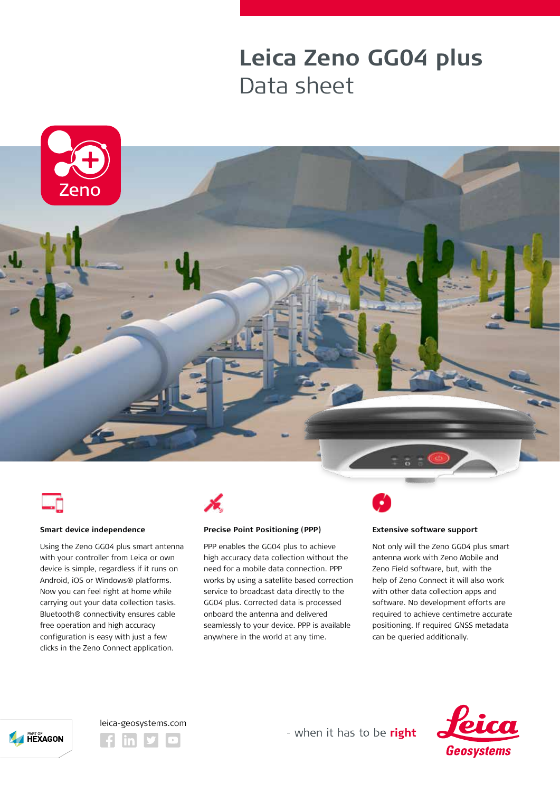## **Leica Zeno GG04 plus** Data sheet







#### **Smart device independence**

Using the Zeno GG04 plus smart antenna with your controller from Leica or own device is simple, regardless if it runs on Android, iOS or Windows® platforms. Now you can feel right at home while carrying out your data collection tasks. Bluetooth® connectivity ensures cable free operation and high accuracy configuration is easy with just a few clicks in the Zeno Connect application.



### **Precise Point Positioning (PPP)**

PPP enables the GG04 plus to achieve high accuracy data collection without the need for a mobile data connection. PPP works by using a satellite based correction service to broadcast data directly to the GG04 plus. Corrected data is processed onboard the antenna and delivered seamlessly to your device. PPP is available anywhere in the world at any time.

#### **Extensive software support**

Not only will the Zeno GG04 plus smart antenna work with Zeno Mobile and Zeno Field software, but, with the help of Zeno Connect it will also work with other data collection apps and software. No development efforts are required to achieve centimetre accurate positioning. If required GNSS metadata can be queried additionally.







- when it has to be right